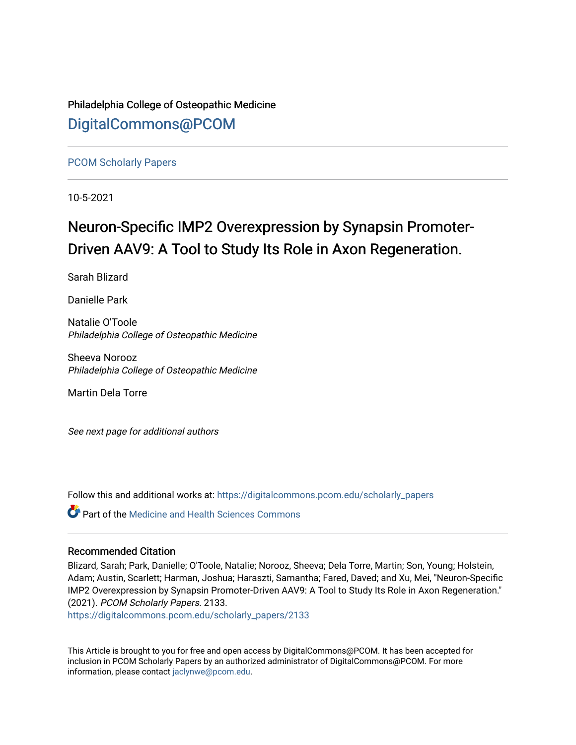Philadelphia College of Osteopathic Medicine [DigitalCommons@PCOM](https://digitalcommons.pcom.edu/) 

[PCOM Scholarly Papers](https://digitalcommons.pcom.edu/scholarly_papers) 

10-5-2021

# Neuron-Specific IMP2 Overexpression by Synapsin Promoter-Driven AAV9: A Tool to Study Its Role in Axon Regeneration.

Sarah Blizard

Danielle Park

Natalie O'Toole Philadelphia College of Osteopathic Medicine

Sheeva Norooz Philadelphia College of Osteopathic Medicine

Martin Dela Torre

See next page for additional authors

Follow this and additional works at: [https://digitalcommons.pcom.edu/scholarly\\_papers](https://digitalcommons.pcom.edu/scholarly_papers?utm_source=digitalcommons.pcom.edu%2Fscholarly_papers%2F2133&utm_medium=PDF&utm_campaign=PDFCoverPages) 

**C** Part of the Medicine and Health Sciences Commons

## Recommended Citation

Blizard, Sarah; Park, Danielle; O'Toole, Natalie; Norooz, Sheeva; Dela Torre, Martin; Son, Young; Holstein, Adam; Austin, Scarlett; Harman, Joshua; Haraszti, Samantha; Fared, Daved; and Xu, Mei, "Neuron-Specific IMP2 Overexpression by Synapsin Promoter-Driven AAV9: A Tool to Study Its Role in Axon Regeneration." (2021). PCOM Scholarly Papers. 2133.

[https://digitalcommons.pcom.edu/scholarly\\_papers/2133](https://digitalcommons.pcom.edu/scholarly_papers/2133?utm_source=digitalcommons.pcom.edu%2Fscholarly_papers%2F2133&utm_medium=PDF&utm_campaign=PDFCoverPages) 

This Article is brought to you for free and open access by DigitalCommons@PCOM. It has been accepted for inclusion in PCOM Scholarly Papers by an authorized administrator of DigitalCommons@PCOM. For more information, please contact [jaclynwe@pcom.edu](mailto:jaclynwe@pcom.edu).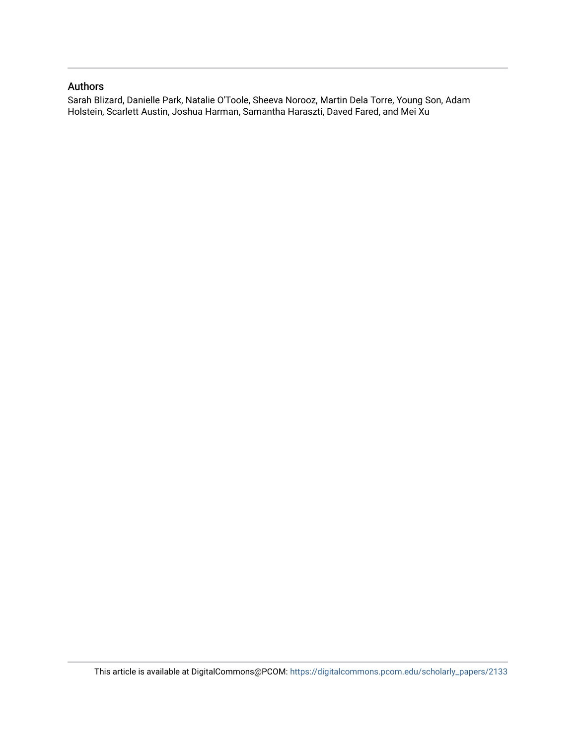# Authors

Sarah Blizard, Danielle Park, Natalie O'Toole, Sheeva Norooz, Martin Dela Torre, Young Son, Adam Holstein, Scarlett Austin, Joshua Harman, Samantha Haraszti, Daved Fared, and Mei Xu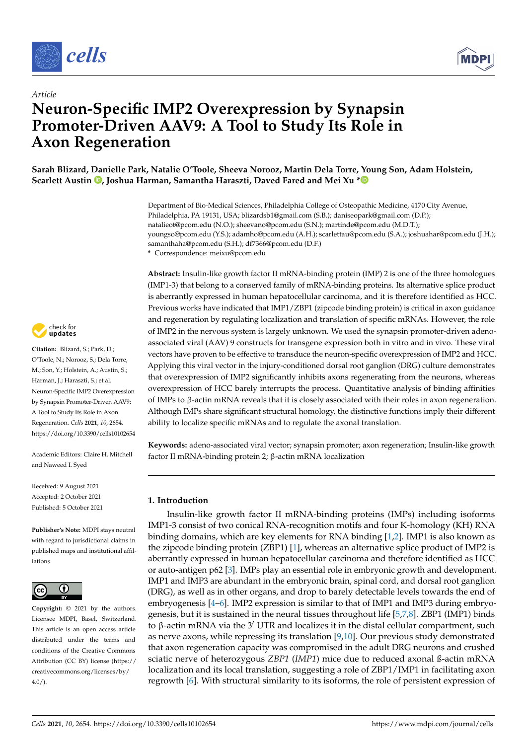



# *Article* **Neuron-Specific IMP2 Overexpression by Synapsin Promoter-Driven AAV9: A Tool to Study Its Role in Axon Regeneration**

**Sarah Blizard, Danielle Park, Natalie O'Toole, Sheeva Norooz, Martin Dela Torre, Young Son, Adam Holstein, Scarlett Austin [,](https://orcid.org/0000-0003-0464-4252) Joshua Harman, Samantha Haraszti, Daved Fared and Mei Xu [\\*](https://orcid.org/0000-0001-8247-8179)**

> Department of Bio-Medical Sciences, Philadelphia College of Osteopathic Medicine, 4170 City Avenue, Philadelphia, PA 19131, USA; blizardsb1@gmail.com (S.B.); daniseopark@gmail.com (D.P.); natalieot@pcom.edu (N.O.); sheevano@pcom.edu (S.N.); martinde@pcom.edu (M.D.T.); youngso@pcom.edu (Y.S.); adamho@pcom.edu (A.H.); scarlettau@pcom.edu (S.A.); joshuahar@pcom.edu (J.H.); samanthaha@pcom.edu (S.H.); df7366@pcom.edu (D.F.)

**\*** Correspondence: meixu@pcom.edu

check for **-**

**Citation:** Blizard, S.; Park, D.; O'Toole, N.; Norooz, S.; Dela Torre, M.; Son, Y.; Holstein, A.; Austin, S.; Harman, J.; Haraszti, S.; et al. Neuron-Specific IMP2 Overexpression by Synapsin Promoter-Driven AAV9: A Tool to Study Its Role in Axon Regeneration. *Cells* **2021**, *10*, 2654. <https://doi.org/10.3390/cells10102654>

Academic Editors: Claire H. Mitchell and Naweed I. Syed

Received: 9 August 2021 Accepted: 2 October 2021 Published: 5 October 2021

**Publisher's Note:** MDPI stays neutral with regard to jurisdictional claims in published maps and institutional affiliations.



**Copyright:** © 2021 by the authors. Licensee MDPI, Basel, Switzerland. This article is an open access article distributed under the terms and conditions of the Creative Commons Attribution (CC BY) license (https:/[/](https://creativecommons.org/licenses/by/4.0/) [creativecommons.org/licenses/by/](https://creativecommons.org/licenses/by/4.0/)  $4.0/$ ).

**Abstract:** Insulin-like growth factor II mRNA-binding protein (IMP) 2 is one of the three homologues (IMP1-3) that belong to a conserved family of mRNA-binding proteins. Its alternative splice product is aberrantly expressed in human hepatocellular carcinoma, and it is therefore identified as HCC. Previous works have indicated that IMP1/ZBP1 (zipcode binding protein) is critical in axon guidance and regeneration by regulating localization and translation of specific mRNAs. However, the role of IMP2 in the nervous system is largely unknown. We used the synapsin promoter-driven adenoassociated viral (AAV) 9 constructs for transgene expression both in vitro and in vivo. These viral vectors have proven to be effective to transduce the neuron-specific overexpression of IMP2 and HCC. Applying this viral vector in the injury-conditioned dorsal root ganglion (DRG) culture demonstrates that overexpression of IMP2 significantly inhibits axons regenerating from the neurons, whereas overexpression of HCC barely interrupts the process. Quantitative analysis of binding affinities of IMPs to β-actin mRNA reveals that it is closely associated with their roles in axon regeneration. Although IMPs share significant structural homology, the distinctive functions imply their different ability to localize specific mRNAs and to regulate the axonal translation.

**Keywords:** adeno-associated viral vector; synapsin promoter; axon regeneration; Insulin-like growth factor II mRNA-binding protein 2; β-actin mRNA localization

# **1. Introduction**

Insulin-like growth factor II mRNA-binding proteins (IMPs) including isoforms IMP1-3 consist of two conical RNA-recognition motifs and four K-homology (KH) RNA binding domains, which are key elements for RNA binding [\[1](#page-11-0)[,2\]](#page-11-1). IMP1 is also known as the zipcode binding protein (ZBP1) [\[1\]](#page-11-0), whereas an alternative splice product of IMP2 is aberrantly expressed in human hepatocellular carcinoma and therefore identified as HCC or auto-antigen p62 [\[3\]](#page-11-2). IMPs play an essential role in embryonic growth and development. IMP1 and IMP3 are abundant in the embryonic brain, spinal cord, and dorsal root ganglion (DRG), as well as in other organs, and drop to barely detectable levels towards the end of embryogenesis [\[4](#page-11-3)[–6\]](#page-11-4). IMP2 expression is similar to that of IMP1 and IMP3 during embryogenesis, but it is sustained in the neural tissues throughout life [\[5](#page-11-5)[,7](#page-11-6)[,8\]](#page-11-7). ZBP1 (IMP1) binds to β-actin mRNA via the 3<sup>'</sup> UTR and localizes it in the distal cellular compartment, such as nerve axons, while repressing its translation [\[9,](#page-11-8)[10\]](#page-11-9). Our previous study demonstrated that axon regeneration capacity was compromised in the adult DRG neurons and crushed sciatic nerve of heterozygous *ZBP1* (*IMP1*) mice due to reduced axonal ß-actin mRNA localization and its local translation, suggesting a role of ZBP1/IMP1 in facilitating axon regrowth [\[6\]](#page-11-4). With structural similarity to its isoforms, the role of persistent expression of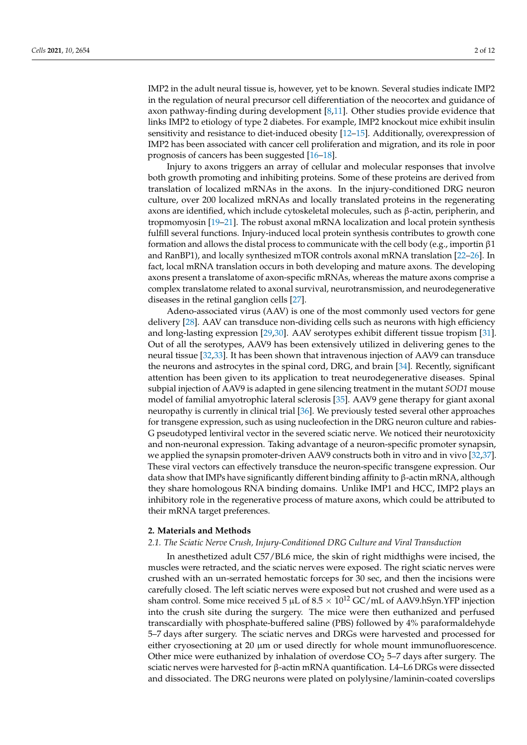IMP2 in the adult neural tissue is, however, yet to be known. Several studies indicate IMP2 in the regulation of neural precursor cell differentiation of the neocortex and guidance of axon pathway-finding during development [\[8,](#page-11-7)[11\]](#page-11-10). Other studies provide evidence that links IMP2 to etiology of type 2 diabetes. For example, IMP2 knockout mice exhibit insulin sensitivity and resistance to diet-induced obesity [\[12](#page-11-11)[–15\]](#page-11-12). Additionally, overexpression of IMP2 has been associated with cancer cell proliferation and migration, and its role in poor prognosis of cancers has been suggested [\[16](#page-11-13)[–18\]](#page-11-14).

Injury to axons triggers an array of cellular and molecular responses that involve both growth promoting and inhibiting proteins. Some of these proteins are derived from translation of localized mRNAs in the axons. In the injury-conditioned DRG neuron culture, over 200 localized mRNAs and locally translated proteins in the regenerating axons are identified, which include cytoskeletal molecules, such as β-actin, peripherin, and tropmomyosin [\[19](#page-11-15)[–21\]](#page-11-16). The robust axonal mRNA localization and local protein synthesis fulfill several functions. Injury-induced local protein synthesis contributes to growth cone formation and allows the distal process to communicate with the cell body (e.g., importin β1 and RanBP1), and locally synthesized mTOR controls axonal mRNA translation [\[22–](#page-11-17)[26\]](#page-11-18). In fact, local mRNA translation occurs in both developing and mature axons. The developing axons present a translatome of axon-specific mRNAs, whereas the mature axons comprise a complex translatome related to axonal survival, neurotransmission, and neurodegenerative diseases in the retinal ganglion cells [\[27\]](#page-12-0).

Adeno-associated virus (AAV) is one of the most commonly used vectors for gene delivery [\[28\]](#page-12-1). AAV can transduce non-dividing cells such as neurons with high efficiency and long-lasting expression [\[29,](#page-12-2)[30\]](#page-12-3). AAV serotypes exhibit different tissue tropism [\[31\]](#page-12-4). Out of all the serotypes, AAV9 has been extensively utilized in delivering genes to the neural tissue [\[32](#page-12-5)[,33\]](#page-12-6). It has been shown that intravenous injection of AAV9 can transduce the neurons and astrocytes in the spinal cord, DRG, and brain [\[34\]](#page-12-7). Recently, significant attention has been given to its application to treat neurodegenerative diseases. Spinal subpial injection of AAV9 is adapted in gene silencing treatment in the mutant *SOD1* mouse model of familial amyotrophic lateral sclerosis [\[35\]](#page-12-8). AAV9 gene therapy for giant axonal neuropathy is currently in clinical trial [\[36\]](#page-12-9). We previously tested several other approaches for transgene expression, such as using nucleofection in the DRG neuron culture and rabies-G pseudotyped lentiviral vector in the severed sciatic nerve. We noticed their neurotoxicity and non-neuronal expression. Taking advantage of a neuron-specific promoter synapsin, we applied the synapsin promoter-driven AAV9 constructs both in vitro and in vivo [\[32](#page-12-5)[,37\]](#page-12-10). These viral vectors can effectively transduce the neuron-specific transgene expression. Our data show that IMPs have significantly different binding affinity to  $\beta$ -actin mRNA, although they share homologous RNA binding domains. Unlike IMP1 and HCC, IMP2 plays an inhibitory role in the regenerative process of mature axons, which could be attributed to their mRNA target preferences.

#### **2. Materials and Methods**

#### *2.1. The Sciatic Nerve Crush, Injury-Conditioned DRG Culture and Viral Transduction*

In anesthetized adult C57/BL6 mice, the skin of right midthighs were incised, the muscles were retracted, and the sciatic nerves were exposed. The right sciatic nerves were crushed with an un-serrated hemostatic forceps for 30 sec, and then the incisions were carefully closed. The left sciatic nerves were exposed but not crushed and were used as a sham control. Some mice received 5  $\mu$ L of 8.5  $\times$  10<sup>12</sup> GC/mL of AAV9.hSyn.YFP injection into the crush site during the surgery. The mice were then euthanized and perfused transcardially with phosphate-buffered saline (PBS) followed by 4% paraformaldehyde 5–7 days after surgery. The sciatic nerves and DRGs were harvested and processed for either cryosectioning at 20  $\mu$ m or used directly for whole mount immunofluorescence. Other mice were euthanized by inhalation of overdose  $CO<sub>2</sub>$  5–7 days after surgery. The sciatic nerves were harvested for β-actin mRNA quantification. L4–L6 DRGs were dissected and dissociated. The DRG neurons were plated on polylysine/laminin-coated coverslips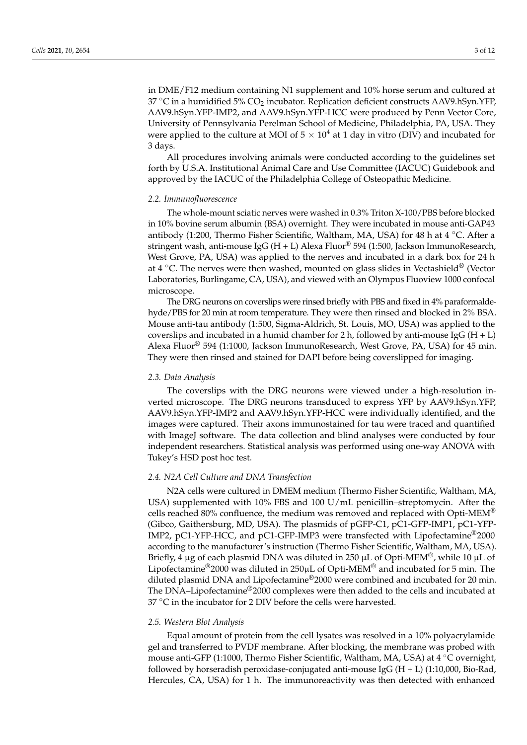in DME/F12 medium containing N1 supplement and 10% horse serum and cultured at 37 °C in a humidified 5%  $CO<sub>2</sub>$  incubator. Replication deficient constructs AAV9.hSyn.YFP, AAV9.hSyn.YFP-IMP2, and AAV9.hSyn.YFP-HCC were produced by Penn Vector Core, University of Pennsylvania Perelman School of Medicine, Philadelphia, PA, USA. They were applied to the culture at MOI of  $5 \times 10^4$  at 1 day in vitro (DIV) and incubated for 3 days.

All procedures involving animals were conducted according to the guidelines set forth by U.S.A. Institutional Animal Care and Use Committee (IACUC) Guidebook and approved by the IACUC of the Philadelphia College of Osteopathic Medicine.

#### *2.2. Immunofluorescence*

The whole-mount sciatic nerves were washed in 0.3% Triton X-100/PBS before blocked in 10% bovine serum albumin (BSA) overnight. They were incubated in mouse anti-GAP43 antibody (1:200, Thermo Fisher Scientific, Waltham, MA, USA) for 48 h at 4  $\degree$ C. After a stringent wash, anti-mouse IgG (H + L) Alexa Fluor<sup>®</sup> 594 (1:500, Jackson ImmunoResearch, West Grove, PA, USA) was applied to the nerves and incubated in a dark box for 24 h at 4 ◦C. The nerves were then washed, mounted on glass slides in Vectashield® (Vector Laboratories, Burlingame, CA, USA), and viewed with an Olympus Fluoview 1000 confocal microscope.

The DRG neurons on coverslips were rinsed briefly with PBS and fixed in 4% paraformaldehyde/PBS for 20 min at room temperature. They were then rinsed and blocked in 2% BSA. Mouse anti-tau antibody (1:500, Sigma-Aldrich, St. Louis, MO, USA) was applied to the coverslips and incubated in a humid chamber for 2 h, followed by anti-mouse IgG (H + L) Alexa Fluor® 594 (1:1000, Jackson ImmunoResearch, West Grove, PA, USA) for 45 min. They were then rinsed and stained for DAPI before being coverslipped for imaging.

#### *2.3. Data Analysis*

The coverslips with the DRG neurons were viewed under a high-resolution inverted microscope. The DRG neurons transduced to express YFP by AAV9.hSyn.YFP, AAV9.hSyn.YFP-IMP2 and AAV9.hSyn.YFP-HCC were individually identified, and the images were captured. Their axons immunostained for tau were traced and quantified with ImageJ software. The data collection and blind analyses were conducted by four independent researchers. Statistical analysis was performed using one-way ANOVA with Tukey's HSD post hoc test.

#### *2.4. N2A Cell Culture and DNA Transfection*

N2A cells were cultured in DMEM medium (Thermo Fisher Scientific, Waltham, MA, USA) supplemented with 10% FBS and 100 U/mL penicillin–streptomycin. After the cells reached 80% confluence, the medium was removed and replaced with Opti-MEM<sup>®</sup> (Gibco, Gaithersburg, MD, USA). The plasmids of pGFP-C1, pC1-GFP-IMP1, pC1-YFP-IMP2, pC1-YFP-HCC, and pC1-GFP-IMP3 were transfected with Lipofectamine®2000 according to the manufacturer's instruction (Thermo Fisher Scientific, Waltham, MA, USA). Briefly, 4 µg of each plasmid DNA was diluted in 250 µL of Opti-MEM®, while 10 µL of Lipofectamine<sup>®</sup>2000 was diluted in 250 $\mu$ L of Opti-MEM<sup>®</sup> and incubated for 5 min. The diluted plasmid DNA and Lipofectamine®2000 were combined and incubated for 20 min. The DNA–Lipofectamine®2000 complexes were then added to the cells and incubated at  $37 \text{ °C}$  in the incubator for 2 DIV before the cells were harvested.

#### *2.5. Western Blot Analysis*

Equal amount of protein from the cell lysates was resolved in a 10% polyacrylamide gel and transferred to PVDF membrane. After blocking, the membrane was probed with mouse anti-GFP (1:1000, Thermo Fisher Scientific, Waltham, MA, USA) at 4 ◦C overnight, followed by horseradish peroxidase-conjugated anti-mouse IgG  $(H + L)$  (1:10,000, Bio-Rad, Hercules, CA, USA) for 1 h. The immunoreactivity was then detected with enhanced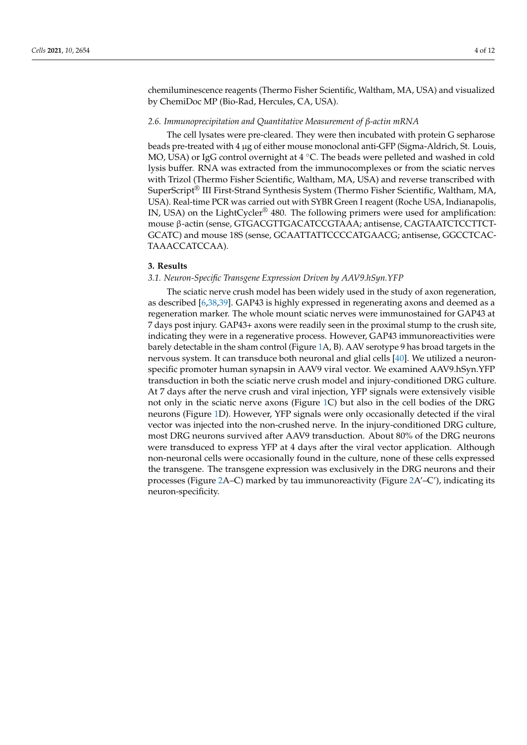chemiluminescence reagents (Thermo Fisher Scientific, Waltham, MA, USA) and visualized by ChemiDoc MP (Bio-Rad, Hercules, CA, USA).

#### *2.6. Immunoprecipitation and Quantitative Measurement of β-actin mRNA*

The cell lysates were pre-cleared. They were then incubated with protein G sepharose beads pre-treated with 4 µg of either mouse monoclonal anti-GFP (Sigma-Aldrich, St. Louis, MO, USA) or IgG control overnight at 4 ℃. The beads were pelleted and washed in cold lysis buffer. RNA was extracted from the immunocomplexes or from the sciatic nerves with Trizol (Thermo Fisher Scientific, Waltham, MA, USA) and reverse transcribed with SuperScript® III First-Strand Synthesis System (Thermo Fisher Scientific, Waltham, MA, USA). Real-time PCR was carried out with SYBR Green I reagent (Roche USA, Indianapolis, IN, USA) on the LightCycler® 480. The following primers were used for amplification: mouse β-actin (sense, GTGACGTTGACATCCGTAAA; antisense, CAGTAATCTCCTTCT-GCATC) and mouse 18S (sense, GCAATTATTCCCCATGAACG; antisense, GGCCTCAC-TAAACCATCCAA).

#### **3. Results**

#### *3.1. Neuron-Specific Transgene Expression Driven by AAV9.hSyn.YFP*

The sciatic nerve crush model has been widely used in the study of axon regeneration, as described [\[6,](#page-11-4)[38,](#page-12-11)[39\]](#page-12-12). GAP43 is highly expressed in regenerating axons and deemed as a regeneration marker. The whole mount sciatic nerves were immunostained for GAP43 at 7 days post injury. GAP43+ axons were readily seen in the proximal stump to the crush site, indicating they were in a regenerative process. However, GAP43 immunoreactivities were barely detectable in the sham control (Figure [1A](#page-6-0), B). AAV serotype 9 has broad targets in the nervous system. It can transduce both neuronal and glial cells [\[40\]](#page-12-13). We utilized a neuronspecific promoter human synapsin in AAV9 viral vector. We examined AAV9.hSyn.YFP transduction in both the sciatic nerve crush model and injury-conditioned DRG culture. At 7 days after the nerve crush and viral injection, YFP signals were extensively visible not only in the sciatic nerve axons (Figure [1C](#page-6-0)) but also in the cell bodies of the DRG neurons (Figure [1D](#page-6-0)). However, YFP signals were only occasionally detected if the viral vector was injected into the non-crushed nerve. In the injury-conditioned DRG culture, most DRG neurons survived after AAV9 transduction. About 80% of the DRG neurons were transduced to express YFP at 4 days after the viral vector application. Although non-neuronal cells were occasionally found in the culture, none of these cells expressed the transgene. The transgene expression was exclusively in the DRG neurons and their processes (Figure [2A](#page-6-1)–C) marked by tau immunoreactivity (Figure [2A](#page-6-1)'–C'), indicating its neuron-specificity.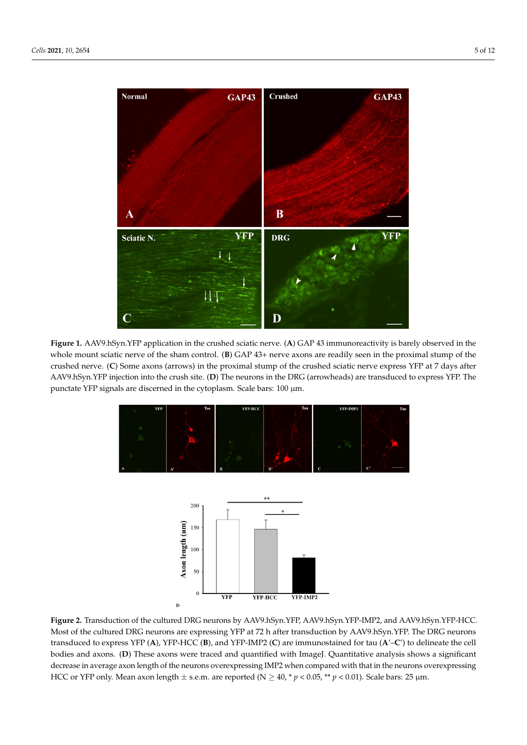<span id="page-6-0"></span>

<span id="page-6-1"></span>Figure 1. AAV9.hSyn.YFP application in the crushed sciatic nerve. (A) GAP 43 immunoreactivity is barely observed in the whole mount sciatic nerve of the sham control. (B) GAP 43+ nerve axons are readily seen in the proximal stump of the AAV9.hSyn.YFP injection into the crush site. (**D**) The neurons in the DRG (arrowheads) are transduced to express YFP. crushed nerve. (C) Some axons (arrows) in the proximal stump of the crushed sciatic nerve express YFP at 7 days after AAV9.hSyn.YFP injection into the crush site. (**D**) The neurons in the DRG (arrowheads) are transduced to express YFP. The punctate YFP signals are discerned in the cytoplasm. Scale bars: 100 µm.



Figure 2. Transduction of the cultured DRG neurons by AAV9.hSyn.YFP, AAV9.hSyn.YFP-IMP2, and AAV9.hSyn.YFP-HCC.  $HPRG$  of the cultured DRG neurons are expression by  $HPRG$  and  $HPRG$ . Most of the cultured DRG neurons are expressing YFP at 72 h after transduction by AAV9.hSyn.YFP. The DRG neurons transduced to express YFP (A), YFP-HCC (B), and YFP-IMP2 (C) are immunostained for tau (A'-C') to delineate the cell  $\sum_{i=1}^n$ bodies and axons. (**D**) These axons were traced and quantified with ImageJ. Quantitative analysis shows a significant HCC or YFP only. Mean axon length  $\pm$  s.e.m. are reported (N  $\geq$  40,  $*$  *p* < 0.05,  $**$  *p* < 0.01). Scale bars: 25 µm. In the injury-conditioned DRG culture, the neurons extended long processes by 1.1  $\mu$ decrease in average axon length of the neurons overexpressing IMP2 when compared with that in the neurons overexpressing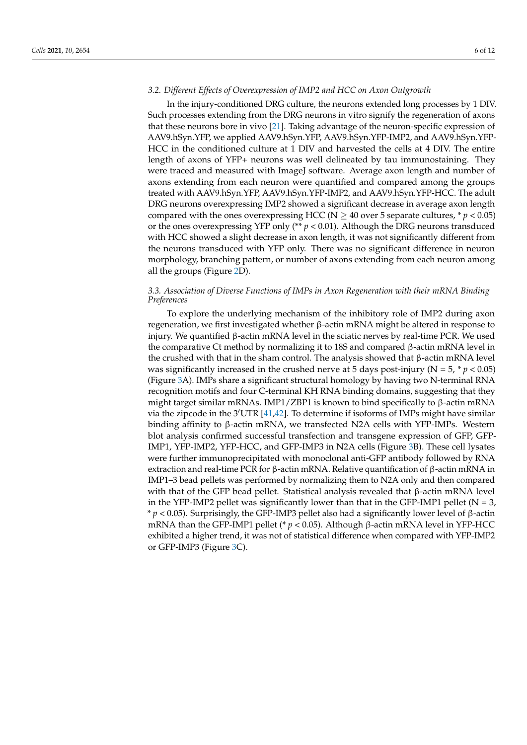#### *3.2. Different Effects of Overexpression of IMP2 and HCC on Axon Outgrowth*

In the injury-conditioned DRG culture, the neurons extended long processes by 1 DIV. Such processes extending from the DRG neurons in vitro signify the regeneration of axons that these neurons bore in vivo [\[21\]](#page-11-16). Taking advantage of the neuron-specific expression of AAV9.hSyn.YFP, we applied AAV9.hSyn.YFP, AAV9.hSyn.YFP-IMP2, and AAV9.hSyn.YFP-HCC in the conditioned culture at 1 DIV and harvested the cells at 4 DIV. The entire length of axons of YFP+ neurons was well delineated by tau immunostaining. They were traced and measured with ImageJ software. Average axon length and number of axons extending from each neuron were quantified and compared among the groups treated with AAV9.hSyn.YFP, AAV9.hSyn.YFP-IMP2, and AAV9.hSyn.YFP-HCC. The adult DRG neurons overexpressing IMP2 showed a significant decrease in average axon length compared with the ones overexpressing HCC ( $N \ge 40$  over 5 separate cultures,  $* p < 0.05$ ) or the ones overexpressing YFP only (\*\*  $p < 0.01$ ). Although the DRG neurons transduced with HCC showed a slight decrease in axon length, it was not significantly different from the neurons transduced with YFP only. There was no significant difference in neuron morphology, branching pattern, or number of axons extending from each neuron among all the groups (Figure [2D](#page-6-1)).

#### *3.3. Association of Diverse Functions of IMPs in Axon Regeneration with their mRNA Binding Preferences*

To explore the underlying mechanism of the inhibitory role of IMP2 during axon regeneration, we first investigated whether β-actin mRNA might be altered in response to injury. We quantified β-actin mRNA level in the sciatic nerves by real-time PCR. We used the comparative Ct method by normalizing it to 18S and compared β-actin mRNA level in the crushed with that in the sham control. The analysis showed that  $\beta$ -actin mRNA level was significantly increased in the crushed nerve at 5 days post-injury ( $N = 5$ ,  $p < 0.05$ ) (Figure [3A](#page-8-0)). IMPs share a significant structural homology by having two N-terminal RNA recognition motifs and four C-terminal KH RNA binding domains, suggesting that they might target similar mRNAs. IMP1/ZBP1 is known to bind specifically to  $\beta$ -actin mRNA via the zipcode in the 3<sup>'</sup>UTR [\[41,](#page-12-14)[42\]](#page-12-15). To determine if isoforms of IMPs might have similar binding affinity to β-actin mRNA, we transfected N2A cells with YFP-IMPs. Western blot analysis confirmed successful transfection and transgene expression of GFP, GFP-IMP1, YFP-IMP2, YFP-HCC, and GFP-IMP3 in N2A cells (Figure [3B](#page-8-0)). These cell lysates were further immunoprecipitated with monoclonal anti-GFP antibody followed by RNA extraction and real-time PCR for β-actin mRNA. Relative quantification of β-actin mRNA in IMP1–3 bead pellets was performed by normalizing them to N2A only and then compared with that of the GFP bead pellet. Statistical analysis revealed that β-actin mRNA level in the YFP-IMP2 pellet was significantly lower than that in the GFP-IMP1 pellet ( $N = 3$ , \* *p* < 0.05). Surprisingly, the GFP-IMP3 pellet also had a significantly lower level of β-actin mRNA than the GFP-IMP1 pellet (\*  $p < 0.05$ ). Although β-actin mRNA level in YFP-HCC exhibited a higher trend, it was not of statistical difference when compared with YFP-IMP2 or GFP-IMP3 (Figure [3C](#page-8-0)).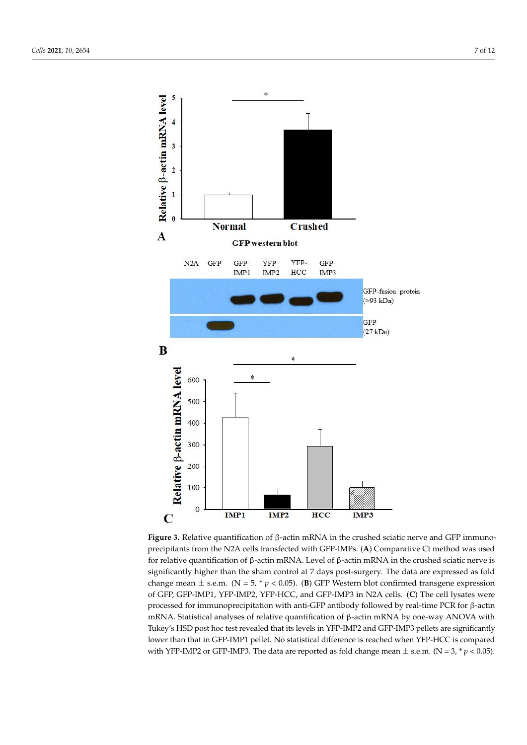<span id="page-8-0"></span>

**Figure 3.** Relative quantification of β-actin mRNA in the crushed sciatic nerve and GFP immunoprecipitants from the N2A precipitants from the N2A cells transfected with GFP-IMPs. (A) Comparative Ct method was used for relative quantification of β-actin mRNA. Level of β-actin mRNA in the crushed sciatic nerve is significantly higher than the sham control at 7 days post-surgery. The data are expressed as fold change mean  $\pm$  s.e.m. (N = 5, \* p < 0.05). (B) GFP Western blot confirmed transgene expression cipitation with anti-GFP antibody followed by real-time PCR for β-actin mRNA. Statistical analyses of relative quantificaof GFP, GFP-IMP1, YFP-IMP2, YFP-HCC, and GFP-IMP3 in N2A cells. (**C**) The cell lysates were processed for immunoprecipitation with anti-GFP antibody followed by real-time PCR for β-actin mRNA. Statistical analyses of relative quantification of β-actin mRNA by one-way ANOVA with **Figure 3.** Relative quantification of β-actin mRNA in the crushed sciatic nerve and GFP immuno-Tukey's HSD post hoc test revealed that its levels in YFP-IMP2 and GFP-IMP3 pellets are significantly lower than that in GFP-IMP1 pellet. No statistical difference is reached when YFP-HCC is compared with YFP-IMP2 or GFP-IMP3. The data are reported as fold change mean  $\pm$  s.e.m. (N = 3, \*  $p$  < 0.05).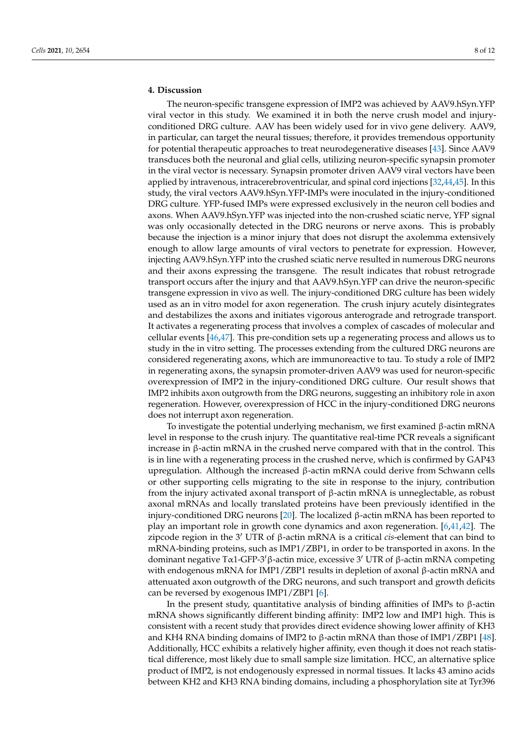### **4. Discussion**

The neuron-specific transgene expression of IMP2 was achieved by AAV9.hSyn.YFP viral vector in this study. We examined it in both the nerve crush model and injuryconditioned DRG culture. AAV has been widely used for in vivo gene delivery. AAV9, in particular, can target the neural tissues; therefore, it provides tremendous opportunity for potential therapeutic approaches to treat neurodegenerative diseases [\[43\]](#page-12-16). Since AAV9 transduces both the neuronal and glial cells, utilizing neuron-specific synapsin promoter in the viral vector is necessary. Synapsin promoter driven AAV9 viral vectors have been applied by intravenous, intracerebroventricular, and spinal cord injections [\[32](#page-12-5)[,44](#page-12-17)[,45\]](#page-12-18). In this study, the viral vectors AAV9.hSyn.YFP-IMPs were inoculated in the injury-conditioned DRG culture. YFP-fused IMPs were expressed exclusively in the neuron cell bodies and axons. When AAV9.hSyn.YFP was injected into the non-crushed sciatic nerve, YFP signal was only occasionally detected in the DRG neurons or nerve axons. This is probably because the injection is a minor injury that does not disrupt the axolemma extensively enough to allow large amounts of viral vectors to penetrate for expression. However, injecting AAV9.hSyn.YFP into the crushed sciatic nerve resulted in numerous DRG neurons and their axons expressing the transgene. The result indicates that robust retrograde transport occurs after the injury and that AAV9.hSyn.YFP can drive the neuron-specific transgene expression in vivo as well. The injury-conditioned DRG culture has been widely used as an in vitro model for axon regeneration. The crush injury acutely disintegrates and destabilizes the axons and initiates vigorous anterograde and retrograde transport. It activates a regenerating process that involves a complex of cascades of molecular and cellular events [\[46](#page-12-19)[,47\]](#page-12-20). This pre-condition sets up a regenerating process and allows us to study in the in vitro setting. The processes extending from the cultured DRG neurons are considered regenerating axons, which are immunoreactive to tau. To study a role of IMP2 in regenerating axons, the synapsin promoter-driven AAV9 was used for neuron-specific overexpression of IMP2 in the injury-conditioned DRG culture. Our result shows that IMP2 inhibits axon outgrowth from the DRG neurons, suggesting an inhibitory role in axon regeneration. However, overexpression of HCC in the injury-conditioned DRG neurons does not interrupt axon regeneration.

To investigate the potential underlying mechanism, we first examined β-actin mRNA level in response to the crush injury. The quantitative real-time PCR reveals a significant increase in β-actin mRNA in the crushed nerve compared with that in the control. This is in line with a regenerating process in the crushed nerve, which is confirmed by GAP43 upregulation. Although the increased β-actin mRNA could derive from Schwann cells or other supporting cells migrating to the site in response to the injury, contribution from the injury activated axonal transport of β-actin mRNA is unneglectable, as robust axonal mRNAs and locally translated proteins have been previously identified in the injury-conditioned DRG neurons [\[20\]](#page-11-19). The localized β-actin mRNA has been reported to play an important role in growth cone dynamics and axon regeneration. [\[6,](#page-11-4)[41,](#page-12-14)[42\]](#page-12-15). The zipcode region in the 3<sup>0</sup> UTR of β-actin mRNA is a critical *cis*-element that can bind to mRNA-binding proteins, such as IMP1/ZBP1, in order to be transported in axons. In the dominant negative Tα1-GFP-3' β-actin mice, excessive 3' UTR of β-actin mRNA competing with endogenous mRNA for IMP1/ZBP1 results in depletion of axonal β-actin mRNA and attenuated axon outgrowth of the DRG neurons, and such transport and growth deficits can be reversed by exogenous IMP1/ZBP1 [\[6\]](#page-11-4).

In the present study, quantitative analysis of binding affinities of IMPs to β-actin mRNA shows significantly different binding affinity: IMP2 low and IMP1 high. This is consistent with a recent study that provides direct evidence showing lower affinity of KH3 and KH4 RNA binding domains of IMP2 to β-actin mRNA than those of IMP1/ZBP1 [\[48\]](#page-12-21). Additionally, HCC exhibits a relatively higher affinity, even though it does not reach statistical difference, most likely due to small sample size limitation. HCC, an alternative splice product of IMP2, is not endogenously expressed in normal tissues. It lacks 43 amino acids between KH2 and KH3 RNA binding domains, including a phosphorylation site at Tyr396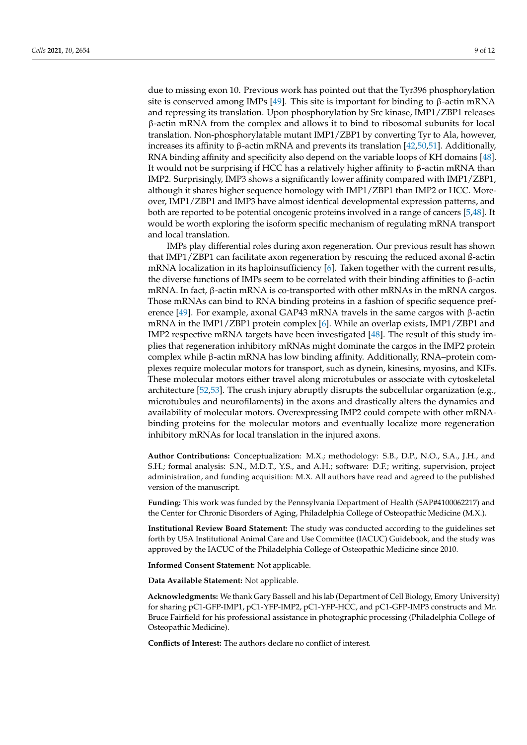due to missing exon 10. Previous work has pointed out that the Tyr396 phosphorylation site is conserved among IMPs [\[49\]](#page-12-22). This site is important for binding to  $\beta$ -actin mRNA and repressing its translation. Upon phosphorylation by Src kinase, IMP1/ZBP1 releases β-actin mRNA from the complex and allows it to bind to ribosomal subunits for local translation. Non-phosphorylatable mutant IMP1/ZBP1 by converting Tyr to Ala, however, increases its affinity to β-actin mRNA and prevents its translation [\[42](#page-12-15)[,50](#page-12-23)[,51\]](#page-12-24). Additionally, RNA binding affinity and specificity also depend on the variable loops of KH domains [\[48\]](#page-12-21). It would not be surprising if HCC has a relatively higher affinity to  $\beta$ -actin mRNA than IMP2. Surprisingly, IMP3 shows a significantly lower affinity compared with IMP1/ZBP1, although it shares higher sequence homology with IMP1/ZBP1 than IMP2 or HCC. Moreover, IMP1/ZBP1 and IMP3 have almost identical developmental expression patterns, and both are reported to be potential oncogenic proteins involved in a range of cancers [\[5,](#page-11-5)[48\]](#page-12-21). It would be worth exploring the isoform specific mechanism of regulating mRNA transport and local translation.

IMPs play differential roles during axon regeneration. Our previous result has shown that IMP1/ZBP1 can facilitate axon regeneration by rescuing the reduced axonal ß-actin mRNA localization in its haploinsufficiency [\[6\]](#page-11-4). Taken together with the current results, the diverse functions of IMPs seem to be correlated with their binding affinities to β-actin mRNA. In fact,  $β$ -actin mRNA is co-transported with other mRNAs in the mRNA cargos. Those mRNAs can bind to RNA binding proteins in a fashion of specific sequence preference [\[49\]](#page-12-22). For example, axonal GAP43 mRNA travels in the same cargos with β-actin mRNA in the IMP1/ZBP1 protein complex [\[6\]](#page-11-4). While an overlap exists, IMP1/ZBP1 and IMP2 respective mRNA targets have been investigated [\[48\]](#page-12-21). The result of this study implies that regeneration inhibitory mRNAs might dominate the cargos in the IMP2 protein complex while β-actin mRNA has low binding affinity. Additionally, RNA–protein complexes require molecular motors for transport, such as dynein, kinesins, myosins, and KIFs. These molecular motors either travel along microtubules or associate with cytoskeletal architecture [\[52,](#page-13-0)[53\]](#page-13-1). The crush injury abruptly disrupts the subcellular organization (e.g., microtubules and neurofilaments) in the axons and drastically alters the dynamics and availability of molecular motors. Overexpressing IMP2 could compete with other mRNAbinding proteins for the molecular motors and eventually localize more regeneration inhibitory mRNAs for local translation in the injured axons.

**Author Contributions:** Conceptualization: M.X.; methodology: S.B., D.P., N.O., S.A., J.H., and S.H.; formal analysis: S.N., M.D.T., Y.S., and A.H.; software: D.F.; writing, supervision, project administration, and funding acquisition: M.X. All authors have read and agreed to the published version of the manuscript.

**Funding:** This work was funded by the Pennsylvania Department of Health (SAP#4100062217) and the Center for Chronic Disorders of Aging, Philadelphia College of Osteopathic Medicine (M.X.).

**Institutional Review Board Statement:** The study was conducted according to the guidelines set forth by USA Institutional Animal Care and Use Committee (IACUC) Guidebook, and the study was approved by the IACUC of the Philadelphia College of Osteopathic Medicine since 2010.

**Informed Consent Statement:** Not applicable.

**Data Available Statement:** Not applicable.

**Acknowledgments:** We thank Gary Bassell and his lab (Department of Cell Biology, Emory University) for sharing pC1-GFP-IMP1, pC1-YFP-IMP2, pC1-YFP-HCC, and pC1-GFP-IMP3 constructs and Mr. Bruce Fairfield for his professional assistance in photographic processing (Philadelphia College of Osteopathic Medicine).

**Conflicts of Interest:** The authors declare no conflict of interest.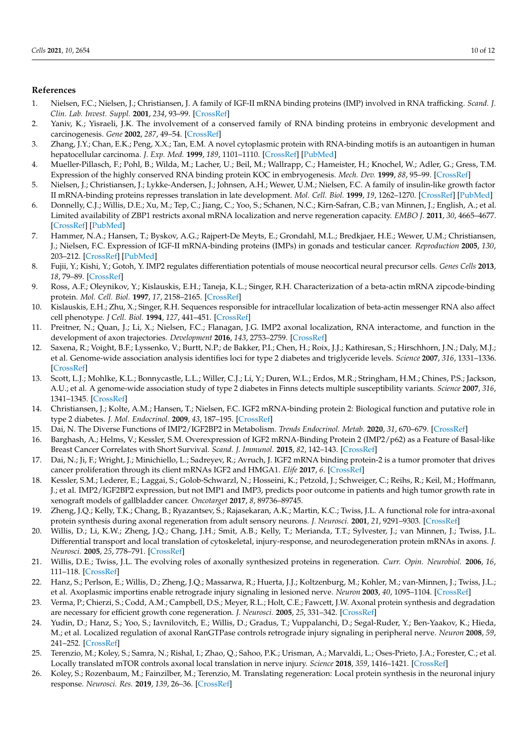#### **References**

- <span id="page-11-0"></span>1. Nielsen, F.C.; Nielsen, J.; Christiansen, J. A family of IGF-II mRNA binding proteins (IMP) involved in RNA trafficking. *Scand. J. Clin. Lab. Invest. Suppl.* **2001**, *234*, 93–99. [\[CrossRef\]](http://doi.org/10.1080/713783680)
- <span id="page-11-1"></span>2. Yaniv, K.; Yisraeli, J.K. The involvement of a conserved family of RNA binding proteins in embryonic development and carcinogenesis. *Gene* **2002**, *287*, 49–54. [\[CrossRef\]](http://doi.org/10.1016/S0378-1119(01)00866-6)
- <span id="page-11-2"></span>3. Zhang, J.Y.; Chan, E.K.; Peng, X.X.; Tan, E.M. A novel cytoplasmic protein with RNA-binding motifs is an autoantigen in human hepatocellular carcinoma. *J. Exp. Med.* **1999**, *189*, 1101–1110. [\[CrossRef\]](http://doi.org/10.1084/jem.189.7.1101) [\[PubMed\]](http://www.ncbi.nlm.nih.gov/pubmed/10190901)
- <span id="page-11-3"></span>4. Mueller-Pillasch, F.; Pohl, B.; Wilda, M.; Lacher, U.; Beil, M.; Wallrapp, C.; Hameister, H.; Knochel, W.; Adler, G.; Gress, T.M. Expression of the highly conserved RNA binding protein KOC in embryogenesis. *Mech. Dev.* **1999**, *88*, 95–99. [\[CrossRef\]](http://doi.org/10.1016/S0925-4773(99)00160-4)
- <span id="page-11-5"></span>5. Nielsen, J.; Christiansen, J.; Lykke-Andersen, J.; Johnsen, A.H.; Wewer, U.M.; Nielsen, F.C. A family of insulin-like growth factor II mRNA-binding proteins represses translation in late development. *Mol. Cell. Biol.* **1999**, *19*, 1262–1270. [\[CrossRef\]](http://doi.org/10.1128/MCB.19.2.1262) [\[PubMed\]](http://www.ncbi.nlm.nih.gov/pubmed/9891060)
- <span id="page-11-4"></span>6. Donnelly, C.J.; Willis, D.E.; Xu, M.; Tep, C.; Jiang, C.; Yoo, S.; Schanen, N.C.; Kirn-Safran, C.B.; van Minnen, J.; English, A.; et al. Limited availability of ZBP1 restricts axonal mRNA localization and nerve regeneration capacity. *EMBO J.* **2011**, *30*, 4665–4677. [\[CrossRef\]](http://doi.org/10.1038/emboj.2011.347) [\[PubMed\]](http://www.ncbi.nlm.nih.gov/pubmed/21964071)
- <span id="page-11-6"></span>7. Hammer, N.A.; Hansen, T.; Byskov, A.G.; Rajpert-De Meyts, E.; Grondahl, M.L.; Bredkjaer, H.E.; Wewer, U.M.; Christiansen, J.; Nielsen, F.C. Expression of IGF-II mRNA-binding proteins (IMPs) in gonads and testicular cancer. *Reproduction* **2005**, *130*, 203–212. [\[CrossRef\]](http://doi.org/10.1530/rep.1.00664) [\[PubMed\]](http://www.ncbi.nlm.nih.gov/pubmed/16049158)
- <span id="page-11-7"></span>8. Fujii, Y.; Kishi, Y.; Gotoh, Y. IMP2 regulates differentiation potentials of mouse neocortical neural precursor cells. *Genes Cells* **2013**, *18*, 79–89. [\[CrossRef\]](http://doi.org/10.1111/gtc.12024)
- <span id="page-11-8"></span>9. Ross, A.F.; Oleynikov, Y.; Kislauskis, E.H.; Taneja, K.L.; Singer, R.H. Characterization of a beta-actin mRNA zipcode-binding protein. *Mol. Cell. Biol.* **1997**, *17*, 2158–2165. [\[CrossRef\]](http://doi.org/10.1128/MCB.17.4.2158)
- <span id="page-11-9"></span>10. Kislauskis, E.H.; Zhu, X.; Singer, R.H. Sequences responsible for intracellular localization of beta-actin messenger RNA also affect cell phenotype. *J Cell. Biol.* **1994**, *127*, 441–451. [\[CrossRef\]](http://doi.org/10.1083/jcb.127.2.441)
- <span id="page-11-10"></span>11. Preitner, N.; Quan, J.; Li, X.; Nielsen, F.C.; Flanagan, J.G. IMP2 axonal localization, RNA interactome, and function in the development of axon trajectories. *Development* **2016**, *143*, 2753–2759. [\[CrossRef\]](http://doi.org/10.1242/dev.128348)
- <span id="page-11-11"></span>12. Saxena, R.; Voight, B.F.; Lyssenko, V.; Burtt, N.P.; de Bakker, P.I.; Chen, H.; Roix, J.J.; Kathiresan, S.; Hirschhorn, J.N.; Daly, M.J.; et al. Genome-wide association analysis identifies loci for type 2 diabetes and triglyceride levels. *Science* **2007**, *316*, 1331–1336. [\[CrossRef\]](http://doi.org/10.1126/science.1142358)
- 13. Scott, L.J.; Mohlke, K.L.; Bonnycastle, L.L.; Willer, C.J.; Li, Y.; Duren, W.L.; Erdos, M.R.; Stringham, H.M.; Chines, P.S.; Jackson, A.U.; et al. A genome-wide association study of type 2 diabetes in Finns detects multiple susceptibility variants. *Science* **2007**, *316*, 1341–1345. [\[CrossRef\]](http://doi.org/10.1126/science.1142382)
- 14. Christiansen, J.; Kolte, A.M.; Hansen, T.; Nielsen, F.C. IGF2 mRNA-binding protein 2: Biological function and putative role in type 2 diabetes. *J. Mol. Endocrinol.* **2009**, *43*, 187–195. [\[CrossRef\]](http://doi.org/10.1677/JME-09-0016)
- <span id="page-11-12"></span>15. Dai, N. The Diverse Functions of IMP2/IGF2BP2 in Metabolism. *Trends Endocrinol. Metab.* **2020**, *31*, 670–679. [\[CrossRef\]](http://doi.org/10.1016/j.tem.2020.05.007)
- <span id="page-11-13"></span>16. Barghash, A.; Helms, V.; Kessler, S.M. Overexpression of IGF2 mRNA-Binding Protein 2 (IMP2/p62) as a Feature of Basal-like Breast Cancer Correlates with Short Survival. *Scand. J. Immunol.* **2015**, *82*, 142–143. [\[CrossRef\]](http://doi.org/10.1111/sji.12307)
- 17. Dai, N.; Ji, F.; Wright, J.; Minichiello, L.; Sadreyev, R.; Avruch, J. IGF2 mRNA binding protein-2 is a tumor promoter that drives cancer proliferation through its client mRNAs IGF2 and HMGA1. *Elife* **2017**, *6*. [\[CrossRef\]](http://doi.org/10.7554/eLife.27155)
- <span id="page-11-14"></span>18. Kessler, S.M.; Lederer, E.; Laggai, S.; Golob-Schwarzl, N.; Hosseini, K.; Petzold, J.; Schweiger, C.; Reihs, R.; Keil, M.; Hoffmann, J.; et al. IMP2/IGF2BP2 expression, but not IMP1 and IMP3, predicts poor outcome in patients and high tumor growth rate in xenograft models of gallbladder cancer. *Oncotarget* **2017**, *8*, 89736–89745.
- <span id="page-11-15"></span>19. Zheng, J.Q.; Kelly, T.K.; Chang, B.; Ryazantsev, S.; Rajasekaran, A.K.; Martin, K.C.; Twiss, J.L. A functional role for intra-axonal protein synthesis during axonal regeneration from adult sensory neurons. *J. Neurosci.* **2001**, *21*, 9291–9303. [\[CrossRef\]](http://doi.org/10.1523/JNEUROSCI.21-23-09291.2001)
- <span id="page-11-19"></span>20. Willis, D.; Li, K.W.; Zheng, J.Q.; Chang, J.H.; Smit, A.B.; Kelly, T.; Merianda, T.T.; Sylvester, J.; van Minnen, J.; Twiss, J.L. Differential transport and local translation of cytoskeletal, injury-response, and neurodegeneration protein mRNAs in axons. *J. Neurosci.* **2005**, *25*, 778–791. [\[CrossRef\]](http://doi.org/10.1523/JNEUROSCI.4235-04.2005)
- <span id="page-11-16"></span>21. Willis, D.E.; Twiss, J.L. The evolving roles of axonally synthesized proteins in regeneration. *Curr. Opin. Neurobiol.* **2006**, *16*, 111–118. [\[CrossRef\]](http://doi.org/10.1016/j.conb.2006.01.002)
- <span id="page-11-17"></span>22. Hanz, S.; Perlson, E.; Willis, D.; Zheng, J.Q.; Massarwa, R.; Huerta, J.J.; Koltzenburg, M.; Kohler, M.; van-Minnen, J.; Twiss, J.L.; et al. Axoplasmic importins enable retrograde injury signaling in lesioned nerve. *Neuron* **2003**, *40*, 1095–1104. [\[CrossRef\]](http://doi.org/10.1016/S0896-6273(03)00770-0)
- 23. Verma, P.; Chierzi, S.; Codd, A.M.; Campbell, D.S.; Meyer, R.L.; Holt, C.E.; Fawcett, J.W. Axonal protein synthesis and degradation are necessary for efficient growth cone regeneration. *J. Neurosci.* **2005**, *25*, 331–342. [\[CrossRef\]](http://doi.org/10.1523/JNEUROSCI.3073-04.2005)
- 24. Yudin, D.; Hanz, S.; Yoo, S.; Iavnilovitch, E.; Willis, D.; Gradus, T.; Vuppalanchi, D.; Segal-Ruder, Y.; Ben-Yaakov, K.; Hieda, M.; et al. Localized regulation of axonal RanGTPase controls retrograde injury signaling in peripheral nerve. *Neuron* **2008**, *59*, 241–252. [\[CrossRef\]](http://doi.org/10.1016/j.neuron.2008.05.029)
- 25. Terenzio, M.; Koley, S.; Samra, N.; Rishal, I.; Zhao, Q.; Sahoo, P.K.; Urisman, A.; Marvaldi, L.; Oses-Prieto, J.A.; Forester, C.; et al. Locally translated mTOR controls axonal local translation in nerve injury. *Science* **2018**, *359*, 1416–1421. [\[CrossRef\]](http://doi.org/10.1126/science.aan1053)
- <span id="page-11-18"></span>26. Koley, S.; Rozenbaum, M.; Fainzilber, M.; Terenzio, M. Translating regeneration: Local protein synthesis in the neuronal injury response. *Neurosci. Res.* **2019**, *139*, 26–36. [\[CrossRef\]](http://doi.org/10.1016/j.neures.2018.10.003)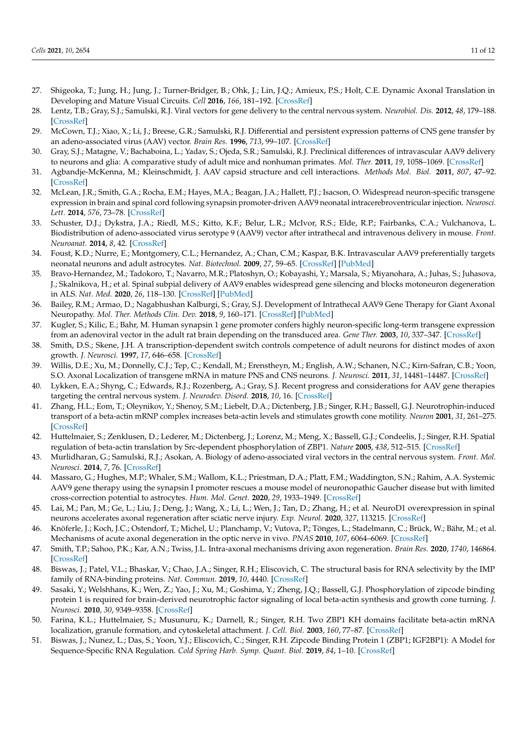- <span id="page-12-0"></span>27. Shigeoka, T.; Jung, H.; Jung, J.; Turner-Bridger, B.; Ohk, J.; Lin, J.Q.; Amieux, P.S.; Holt, C.E. Dynamic Axonal Translation in Developing and Mature Visual Circuits. *Cell* **2016**, *166*, 181–192. [\[CrossRef\]](http://doi.org/10.1016/j.cell.2016.05.029)
- <span id="page-12-1"></span>28. Lentz, T.B.; Gray, S.J.; Samulski, R.J. Viral vectors for gene delivery to the central nervous system. *Neurobiol. Dis.* **2012**, *48*, 179–188. [\[CrossRef\]](http://doi.org/10.1016/j.nbd.2011.09.014)
- <span id="page-12-2"></span>29. McCown, T.J.; Xiao, X.; Li, J.; Breese, G.R.; Samulski, R.J. Differential and persistent expression patterns of CNS gene transfer by an adeno-associated virus (AAV) vector. *Brain Res.* **1996**, *713*, 99–107. [\[CrossRef\]](http://doi.org/10.1016/0006-8993(95)01488-8)
- <span id="page-12-3"></span>30. Gray, S.J.; Matagne, V.; Bachaboina, L.; Yadav, S.; Ojeda, S.R.; Samulski, R.J. Preclinical differences of intravascular AAV9 delivery to neurons and glia: A comparative study of adult mice and nonhuman primates. *Mol. Ther.* **2011**, *19*, 1058–1069. [\[CrossRef\]](http://doi.org/10.1038/mt.2011.72)
- <span id="page-12-4"></span>31. Agbandje-McKenna, M.; Kleinschmidt, J. AAV capsid structure and cell interactions. *Methods Mol. Biol.* **2011**, *807*, 47–92. [\[CrossRef\]](http://doi.org/10.1007/978-1-61779-370-7_3)
- <span id="page-12-5"></span>32. McLean, J.R.; Smith, G.A.; Rocha, E.M.; Hayes, M.A.; Beagan, J.A.; Hallett, P.J.; Isacson, O. Widespread neuron-specific transgene expression in brain and spinal cord following synapsin promoter-driven AAV9 neonatal intracerebroventricular injection. *Neurosci. Lett.* **2014**, *576*, 73–78. [\[CrossRef\]](http://doi.org/10.1016/j.neulet.2014.05.044)
- <span id="page-12-6"></span>33. Schuster, D.J.; Dykstra, J.A.; Riedl, M.S.; Kitto, K.F.; Belur, L.R.; McIvor, R.S.; Elde, R.P.; Fairbanks, C.A.; Vulchanova, L. Biodistribution of adeno-associated virus serotype 9 (AAV9) vector after intrathecal and intravenous delivery in mouse. *Front. Neuroanat.* **2014**, *8*, 42. [\[CrossRef\]](http://doi.org/10.3389/fnana.2014.00042)
- <span id="page-12-7"></span>34. Foust, K.D.; Nurre, E.; Montgomery, C.L.; Hernandez, A.; Chan, C.M.; Kaspar, B.K. Intravascular AAV9 preferentially targets neonatal neurons and adult astrocytes. *Nat. Biotechnol.* **2009**, *27*, 59–65. [\[CrossRef\]](http://doi.org/10.1038/nbt.1515) [\[PubMed\]](http://www.ncbi.nlm.nih.gov/pubmed/19098898)
- <span id="page-12-8"></span>35. Bravo-Hernandez, M.; Tadokoro, T.; Navarro, M.R.; Platoshyn, O.; Kobayashi, Y.; Marsala, S.; Miyanohara, A.; Juhas, S.; Juhasova, J.; Skalnikova, H.; et al. Spinal subpial delivery of AAV9 enables widespread gene silencing and blocks motoneuron degeneration in ALS. *Nat. Med.* **2020**, *26*, 118–130. [\[CrossRef\]](http://doi.org/10.1038/s41591-019-0674-1) [\[PubMed\]](http://www.ncbi.nlm.nih.gov/pubmed/31873312)
- <span id="page-12-9"></span>36. Bailey, R.M.; Armao, D.; Nagabhushan Kalburgi, S.; Gray, S.J. Development of Intrathecal AAV9 Gene Therapy for Giant Axonal Neuropathy. *Mol. Ther. Methods Clin. Dev.* **2018**, *9*, 160–171. [\[CrossRef\]](http://doi.org/10.1016/j.omtm.2018.02.005) [\[PubMed\]](http://www.ncbi.nlm.nih.gov/pubmed/29766026)
- <span id="page-12-10"></span>37. Kugler, S.; Kilic, E.; Bahr, M. Human synapsin 1 gene promoter confers highly neuron-specific long-term transgene expression from an adenoviral vector in the adult rat brain depending on the transduced area. *Gene Ther.* **2003**, *10*, 337–347. [\[CrossRef\]](http://doi.org/10.1038/sj.gt.3301905)
- <span id="page-12-11"></span>38. Smith, D.S.; Skene, J.H. A transcription-dependent switch controls competence of adult neurons for distinct modes of axon growth. *J. Neurosci.* **1997**, *17*, 646–658. [\[CrossRef\]](http://doi.org/10.1523/JNEUROSCI.17-02-00646.1997)
- <span id="page-12-12"></span>39. Willis, D.E.; Xu, M.; Donnelly, C.J.; Tep, C.; Kendall, M.; Erenstheyn, M.; English, A.W.; Schanen, N.C.; Kirn-Safran, C.B.; Yoon, S.O. Axonal Localization of transgene mRNA in mature PNS and CNS neurons. *J. Neurosci.* **2011**, *31*, 14481–14487. [\[CrossRef\]](http://doi.org/10.1523/JNEUROSCI.2950-11.2011)
- <span id="page-12-13"></span>40. Lykken, E.A.; Shyng, C.; Edwards, R.J.; Rozenberg, A.; Gray, S.J. Recent progress and considerations for AAV gene therapies targeting the central nervous system. *J. Neurodev. Disord.* **2018**, *10*, 16. [\[CrossRef\]](http://doi.org/10.1186/s11689-018-9234-0)
- <span id="page-12-14"></span>41. Zhang, H.L.; Eom, T.; Oleynikov, Y.; Shenoy, S.M.; Liebelt, D.A.; Dictenberg, J.B.; Singer, R.H.; Bassell, G.J. Neurotrophin-induced transport of a beta-actin mRNP complex increases beta-actin levels and stimulates growth cone motility. *Neuron* **2001**, *31*, 261–275. [\[CrossRef\]](http://doi.org/10.1016/S0896-6273(01)00357-9)
- <span id="page-12-15"></span>42. Huttelmaier, S.; Zenklusen, D.; Lederer, M.; Dictenberg, J.; Lorenz, M.; Meng, X.; Bassell, G.J.; Condeelis, J.; Singer, R.H. Spatial regulation of beta-actin translation by Src-dependent phosphorylation of ZBP1. *Nature* **2005**, *438*, 512–515. [\[CrossRef\]](http://doi.org/10.1038/nature04115)
- <span id="page-12-16"></span>43. Murlidharan, G.; Samulski, R.J.; Asokan, A. Biology of adeno-associated viral vectors in the central nervous system. *Front. Mol. Neurosci.* **2014**, *7*, 76. [\[CrossRef\]](http://doi.org/10.3389/fnmol.2014.00076)
- <span id="page-12-17"></span>44. Massaro, G.; Hughes, M.P.; Whaler, S.M.; Wallom, K.L.; Priestman, D.A.; Platt, F.M.; Waddington, S.N.; Rahim, A.A. Systemic AAV9 gene therapy using the synapsin I promoter rescues a mouse model of neuronopathic Gaucher disease but with limited cross-correction potential to astrocytes. *Hum. Mol. Genet.* **2020**, *29*, 1933–1949. [\[CrossRef\]](http://doi.org/10.1093/hmg/ddz317)
- <span id="page-12-18"></span>45. Lai, M.; Pan, M.; Ge, L.; Liu, J.; Deng, J.; Wang, X.; Li, L.; Wen, J.; Tan, D.; Zhang, H.; et al. NeuroD1 overexpression in spinal neurons accelerates axonal regeneration after sciatic nerve injury. *Exp. Neurol.* **2020**, *327*, 113215. [\[CrossRef\]](http://doi.org/10.1016/j.expneurol.2020.113215)
- <span id="page-12-19"></span>46. Knöferle, J.; Koch, J.C.; Ostendorf, T.; Michel, U.; Planchamp, V.; Vutova, P.; Tönges, L.; Stadelmann, C.; Brück, W.; Bähr, M.; et al. Mechanisms of acute axonal degeneration in the optic nerve in vivo. *PNAS* **2010**, *107*, 6064–6069. [\[CrossRef\]](http://doi.org/10.1073/pnas.0909794107)
- <span id="page-12-20"></span>47. Smith, T.P.; Sahoo, P.K.; Kar, A.N.; Twiss, J.L. Intra-axonal mechanisms driving axon regeneration. *Brain Res.* **2020**, *1740*, 146864. [\[CrossRef\]](http://doi.org/10.1016/j.brainres.2020.146864)
- <span id="page-12-21"></span>48. Biswas, J.; Patel, V.L.; Bhaskar, V.; Chao, J.A.; Singer, R.H.; Eliscovich, C. The structural basis for RNA selectivity by the IMP family of RNA-binding proteins. *Nat. Commun.* **2019**, *10*, 4440. [\[CrossRef\]](http://doi.org/10.1038/s41467-019-12193-7)
- <span id="page-12-22"></span>49. Sasaki, Y.; Welshhans, K.; Wen, Z.; Yao, J.; Xu, M.; Goshima, Y.; Zheng, J.Q.; Bassell, G.J. Phosphorylation of zipcode binding protein 1 is required for brain-derived neurotrophic factor signaling of local beta-actin synthesis and growth cone turning. *J. Neurosci.* **2010**, *30*, 9349–9358. [\[CrossRef\]](http://doi.org/10.1523/JNEUROSCI.0499-10.2010)
- <span id="page-12-23"></span>50. Farina, K.L.; Huttelmaier, S.; Musunuru, K.; Darnell, R.; Singer, R.H. Two ZBP1 KH domains facilitate beta-actin mRNA localization, granule formation, and cytoskeletal attachment. *J. Cell. Biol.* **2003**, *160*, 77–87. [\[CrossRef\]](http://doi.org/10.1083/jcb.200206003)
- <span id="page-12-24"></span>51. Biswas, J.; Nunez, L.; Das, S.; Yoon, Y.J.; Eliscovich, C.; Singer, R.H. Zipcode Binding Protein 1 (ZBP1; IGF2BP1): A Model for Sequence-Specific RNA Regulation. *Cold Spring Harb. Symp. Quant. Biol.* **2019**, *84*, 1–10. [\[CrossRef\]](http://doi.org/10.1101/sqb.2019.84.039396)